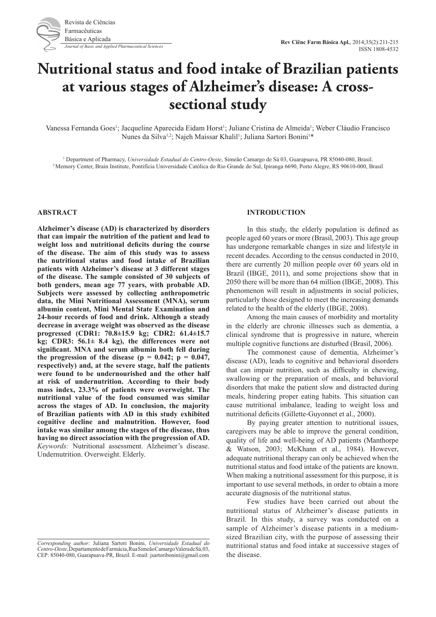

# **Nutritional status and food intake of Brazilian patients at various stages of Alzheimer's disease: A crosssectional study**

Vanessa Fernanda Goes<sup>1</sup>; Jacqueline Aparecida Eidam Horst<sup>1</sup>; Juliane Cristina de Almeida<sup>1</sup>; Weber Cláudio Francisco Nunes da Silva<sup>1,2</sup>; Najeh Maissar Khalil<sup>1</sup>; Juliana Sartori Bonini<sup>1\*</sup>

<sup>1</sup> Department of Pharmacy, Universidade Estadual do Centro-Oeste, Simeão Camargo de Sá 03, Guarapuava, PR 85040-080, Brasil. <sup>2</sup> Memory Center, Brain Institute, Pontifícia Universidade Católica do Rio Grande do Sul, Ipiranga 6690, Porto Alegre, RS 90610-000, Brasil

## **ABSTRACT**

**Alzheimer's disease (AD) is characterized by disorders that can impair the nutrition of the patient and lead to weight loss and nutritional deficits during the course of the disease. The aim of this study was to assess the nutritional status and food intake of Brazilian patients with Alzheimer's disease at 3 different stages of the disease. The sample consisted of 30 subjects of both genders, mean age 77 years, with probable AD. Subjects were assessed by collecting anthropometric data, the Mini Nutritional Assessment (MNA), serum albumin content, Mini Mental State Examination and 24-hour records of food and drink. Although a steady decrease in average weight was observed as the disease progressed (CDR1: 70.8±15.9 kg; CDR2: 61.4±15.7 kg; CDR3: 56.1± 8.4 kg), the differences were not significant. MNA and serum albumin both fell during**  the progression of the disease ( $p = 0.042$ ;  $p = 0.047$ , **respectively) and, at the severe stage, half the patients were found to be undernourished and the other half at risk of undernutrition. According to their body mass index, 23.3% of patients were overweight. The nutritional value of the food consumed was similar across the stages of AD. In conclusion, the majority of Brazilian patients with AD in this study exhibited cognitive decline and malnutrition. However, food intake was similar among the stages of the disease, thus having no direct association with the progression of AD.** *Keywords:* Nutritional assessment. Alzheimer's disease. Undernutrition. Overweight. Elderly.

# **INTRODUCTION**

In this study, the elderly population is defined as people aged 60 years or more (Brasil, 2003). This age group has undergone remarkable changes in size and lifestyle in recent decades. According to the census conducted in 2010, there are currently 20 million people over 60 years old in Brazil (IBGE, 2011), and some projections show that in 2050 there will be more than 64 million (IBGE, 2008). This phenomenon will result in adjustments in social policies, particularly those designed to meet the increasing demands related to the health of the elderly (IBGE, 2008).

Among the main causes of morbidity and mortality in the elderly are chronic illnesses such as dementia, a clinical syndrome that is progressive in nature, wherein multiple cognitive functions are disturbed (Brasil, 2006).

The commonest cause of dementia, Alzheimer's disease (AD), leads to cognitive and behavioral disorders that can impair nutrition, such as difficulty in chewing, swallowing or the preparation of meals, and behavioral disorders that make the patient slow and distracted during meals, hindering proper eating habits. This situation can cause nutritional imbalance, leading to weight loss and nutritional deficits (Gillette-Guyonnet et al., 2000).

By paying greater attention to nutritional issues, caregivers may be able to improve the general condition, quality of life and well-being of AD patients (Manthorpe & Watson, 2003; McKhann et al., 1984). However, adequate nutritional therapy can only be achieved when the nutritional status and food intake of the patients are known. When making a nutritional assessment for this purpose, it is important to use several methods, in order to obtain a more accurate diagnosis of the nutritional status.

Few studies have been carried out about the nutritional status of Alzheimer's disease patients in Brazil. In this study, a survey was conducted on a sample of Alzheimer's disease patients in a mediumsized Brazilian city, with the purpose of assessing their nutritional status and food intake at successive stages of the disease.

*Corresponding author:* Juliana Sartori Bonini, *Universidade Estadual do Centro-Oeste*, Departamento de Farmácia, Rua Simeão Camargo Valera de Sá, 03, CEP: 85040-080, Guarapuava-PR, Brazil. E-mail: jsartoribonini@gmail.com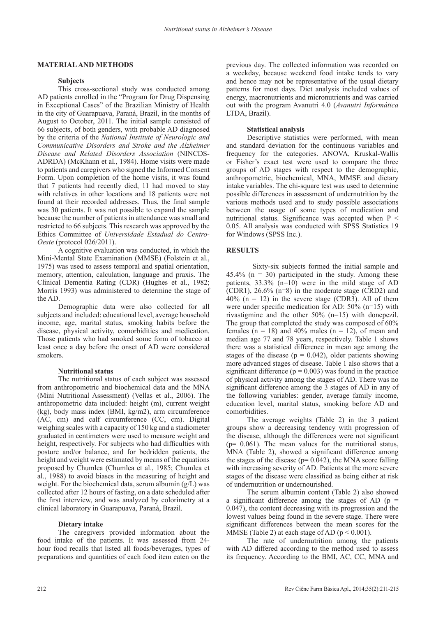#### **MATERIAL AND METHODS**

#### **Subjects**

This cross-sectional study was conducted among AD patients enrolled in the "Program for Drug Dispensing in Exceptional Cases" of the Brazilian Ministry of Health in the city of Guarapuava, Paraná, Brazil, in the months of August to October, 2011. The initial sample consisted of 66 subjects, of both genders, with probable AD diagnosed by the criteria of the *National Institute of Neurologic and Communicative Disorders and Stroke and the Alzheimer Disease and Related Disorders Association* (NINCDS-ADRDA) (McKhann et al., 1984). Home visits were made to patients and caregivers who signed the Informed Consent Form. Upon completion of the home visits, it was found that 7 patients had recently died, 11 had moved to stay with relatives in other locations and 18 patients were not found at their recorded addresses. Thus, the final sample was 30 patients. It was not possible to expand the sample because the number of patients in attendance was small and restricted to 66 subjects. This research was approved by the Ethics Committee of *Universidade Estadual do Centro-Oeste* (protocol 026/2011).

A cognitive evaluation was conducted, in which the Mini-Mental State Examination (MMSE) (Folstein et al., 1975) was used to assess temporal and spatial orientation, memory, attention, calculation, language and praxis. The Clinical Dementia Rating (CDR) (Hughes et al., 1982; Morris 1993) was administered to determine the stage of the AD.

Demographic data were also collected for all subjects and included: educational level, average household income, age, marital status, smoking habits before the disease, physical activity, comorbidities and medication. Those patients who had smoked some form of tobacco at least once a day before the onset of AD were considered smokers.

## **Nutritional status**

The nutritional status of each subject was assessed from anthropometric and biochemical data and the MNA (Mini Nutritional Assessment) (Vellas et al., 2006). The anthropometric data included: height (m), current weight (kg), body mass index (BMI, kg/m2), arm circumference (AC, cm) and calf circumference (CC, cm). Digital weighing scales with a capacity of 150 kg and a stadiometer graduated in centimeters were used to measure weight and height, respectively. For subjects who had difficulties with posture and/or balance, and for bedridden patients, the height and weight were estimated by means of the equations proposed by Chumlea (Chumlea et al., 1985; Chumlea et al., 1988) to avoid biases in the measuring of height and weight. For the biochemical data, serum albumin (g/L) was collected after 12 hours of fasting, on a date scheduled after the first interview, and was analyzed by colorimetry at a clinical laboratory in Guarapuava, Paraná, Brazil.

## **Dietary intake**

The caregivers provided information about the food intake of the patients. It was assessed from 24 hour food recalls that listed all foods/beverages, types of preparations and quantities of each food item eaten on the

previous day. The collected information was recorded on a weekday, because weekend food intake tends to vary and hence may not be representative of the usual dietary patterns for most days. Diet analysis included values of energy, macronutrients and micronutrients and was carried out with the program Avanutri 4.0 (*Avanutri Informática* LTDA, Brazil).

#### **Statistical analysis**

Descriptive statistics were performed, with mean and standard deviation for the continuous variables and frequency for the categories. ANOVA, Kruskal-Wallis or Fisher's exact test were used to compare the three groups of AD stages with respect to the demographic, anthropometric, biochemical, MNA, MMSE and dietary intake variables. The chi-square test was used to determine possible differences in assessment of undernutrition by the various methods used and to study possible associations between the usage of some types of medication and nutritional status. Significance was accepted when  $P \leq$ 0.05. All analysis was conducted with SPSS Statistics 19 for Windows (SPSS Inc.).

#### **RESULTS**

Sixty-six subjects formed the initial sample and  $45.4\%$  (n = 30) participated in the study. Among these patients, 33.3% (n=10) were in the mild stage of AD (CDR1), 26.6% (n=8) in the moderate stage (CRD2) and  $40\%$  (n = 12) in the severe stage (CDR3). All of them were under specific medication for AD: 50% (n=15) with rivastigmine and the other 50% (n=15) with donepezil. The group that completed the study was composed of 60% females ( $n = 18$ ) and 40% males ( $n = 12$ ), of mean and median age 77 and 78 years, respectively. Table 1 shows there was a statistical difference in mean age among the stages of the disease ( $p = 0.042$ ), older patients showing more advanced stages of disease. Table 1 also shows that a significant difference ( $p = 0.003$ ) was found in the practice of physical activity among the stages of AD. There was no significant difference among the 3 stages of AD in any of the following variables: gender, average family income, education level, marital status, smoking before AD and comorbidities.

The average weights (Table 2) in the 3 patient groups show a decreasing tendency with progression of the disease, although the differences were not significant  $(p= 0.061)$ . The mean values for the nutritional status, MNA (Table 2), showed a significant difference among the stages of the disease ( $p= 0.042$ ), the MNA score falling with increasing severity of AD. Patients at the more severe stages of the disease were classified as being either at risk of undernutrition or undernourished.

The serum albumin content (Table 2) also showed a significant difference among the stages of AD  $(p =$ 0.047), the content decreasing with its progression and the lowest values being found in the severe stage. There were significant differences between the mean scores for the MMSE (Table 2) at each stage of AD ( $p < 0.001$ ).

The rate of undernutrition among the patients with AD differed according to the method used to assess its frequency. According to the BMI, AC, CC, MNA and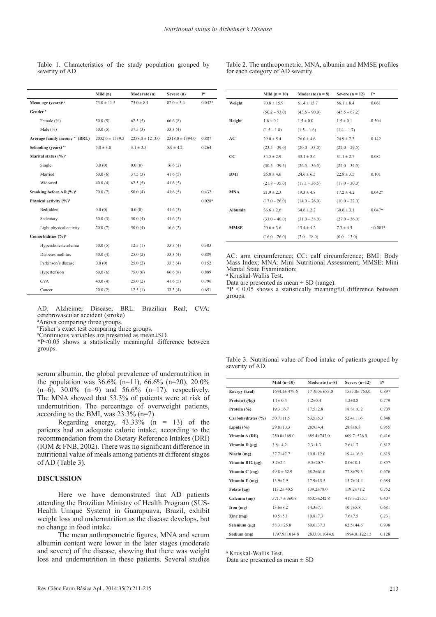|                                            | Mild $(n)$          | Moderate (n)        | Severe (n)          | Pa       |
|--------------------------------------------|---------------------|---------------------|---------------------|----------|
| Mean age (vears) <sup>a c</sup>            | $73.0 \pm 11.5$     | $75.0 \pm 8.1$      | $82.0 \pm 5.4$      | $0.042*$ |
| Gender <sup>b</sup>                        |                     |                     |                     |          |
| Female (%)                                 | 50.0(5)             | 62.5(5)             | 66.6(8)             |          |
| Male $(\% )$                               | 50.0(5)             | 37.5(3)             | 33.3(4)             |          |
| Average family income <sup>a c</sup> (BRL) | $2032.0 \pm 1539.2$ | $2258.0 \pm 1213.0$ | $2318.0 \pm 1394.0$ | 0.887    |
| Schooling (years) <sup>ac</sup>            | $5.0 \pm 3.0$       | $3.1 \pm 3.5$       | $5.9 \pm 4.2$       | 0.264    |
| Marital status $(\frac{6}{6})^b$           |                     |                     |                     |          |
| Single                                     | 0.0(0)              | 0.0(0)              | 16.6(2)             |          |
| Married                                    | 60.0(6)             | 37.5(3)             | 41.6(5)             |          |
| Widowed                                    | 40.0(4)             | 62.5(5)             | 41.6(5)             |          |
| Smoking before AD (%) <sup>a</sup>         | 70.0(7)             | 50.0(4)             | 41.6(5)             | 0.432    |
| Physical activity (%) <sup>b</sup>         |                     |                     |                     | $0.028*$ |
| Bedridden                                  | 0.0(0)              | 0.0(0)              | 41.6(5)             |          |
| Sedentary                                  | 30.0(3)             | 50.0(4)             | 41.6(5)             |          |
| Light physical activity                    | 70.0(7)             | 50.0(4)             | 16.6(2)             |          |
| Comorbidities (%) <sup>b</sup>             |                     |                     |                     |          |
| Hypercholesterolemia                       | 50.0(5)             | 12.5(1)             | 33.3(4)             | 0.303    |
| Diabetes mellitus                          | 40.0(4)             | 25.0(2)             | 33.3(4)             | 0.889    |
| Parkinson's disease                        | 0.0(0)              | 25.0(2)             | 33.3(4)             | 0.152    |
| Hypertension                               | 60.0(6)             | 75.0(6)             | 66.6(8)             | 0.889    |
| <b>CVA</b>                                 | 40.0(4)             | 25.0(2)             | 41.6(5)             | 0.796    |
| Cancer                                     | 20.0(2)             | 12.5(1)             | 33.3(4)             | 0.651    |

Table 1. Characteristics of the study population grouped by severity of AD.

Table 2. The anthropometric, MNA, albumin and MMSE profiles for each category of AD severity.

**Weight**  $70.8 \pm 15.9$   $61.4 \pm 15.7$   $56.1 \pm 8.4$  0.061  $(50.2 - 93.0)$   $(43.6 - 90.0)$   $(45.5 - 67.2)$ **Height**  $1.6 \pm 0.1$   $1.5 \pm 0.0$   $1.5 \pm 0.1$  0.504  $(1.5 - 1.8)$   $(1.5 - 1.6)$   $(1.4 - 1.7)$ **AC**  $29.0 \pm 5.4$   $26.0 \pm 4.6$   $24.9 \pm 2.3$  0.142  $(23.5 - 39.0)$   $(20.0 - 33.0)$   $(22.0 - 29.5)$ **CC**  $34.5 \pm 2.9$   $33.1 \pm 3.6$   $31.1 \pm 2.7$  0.081

**Mild (n = 10) Moderate (n = 8) Severe (n = 12) P**<sup>*i*</sup>

|                | $(30.5 - 39.5)$ | $(26.5 - 36.5)$ | $(27.0 - 34.5)$ |            |
|----------------|-----------------|-----------------|-----------------|------------|
| BMI            | $26.8 \pm 4.6$  | $246 \pm 65$    | $22.8 \pm 3.5$  | 0101       |
|                | $(21.8 - 35.0)$ | $(17.1 - 36.5)$ | $(17.0 - 30.0)$ |            |
| <b>MNA</b>     | $21.9 \pm 2.3$  | $193 \pm 48$    | $172 \pm 42$    | $0.042*$   |
|                | $(17.0 - 26.0)$ | $(14.0 - 26.0)$ | $(10.0 - 22.0)$ |            |
| <b>Albumin</b> | $366 \pm 26$    | $346 \pm 22$    | $306 \pm 31$    | $0.047*$   |
|                | $(33.0 - 40.0)$ | $(31.0 - 38.0)$ | $(27.0 - 36.0)$ |            |
| <b>MMSE</b>    | $206 \pm 36$    | $134 \pm 42$    | $73 + 45$       | $< 0.001*$ |
|                | $(16.0 - 26.0)$ | $(7.0 - 18.0)$  | $(0.0 - 13.0)$  |            |

AC: arm circumference; CC: calf circumference; BMI: Body Mass Index; MNA: Mini Nutritional Assessment; MMSE: Mini Mental State Examination;

a Kruskal-Wallis Test.

Data are presented as mean  $\pm$  SD (range).

 $*P < 0.05$  shows a statistically meaningful difference between groups.

AD: Alzheimer Disease; BRL: Brazilian Real; CVA: cerebrovascular accident (stroke)

a Anova comparing three groups.

b Fisher's exact test comparing three groups.

c Continuous variables are presented as mean±SD.

 $*P<0.05$  shows a statistically meaningful difference between groups.

serum albumin, the global prevalence of undernutrition in the population was  $36.6\%$  (n=11),  $66.6\%$  (n=20),  $20.0\%$  $(n=6)$ , 30.0%  $(n=9)$  and 56.6%  $(n=17)$ , respectively. The MNA showed that 53.3% of patients were at risk of undernutrition. The percentage of overweight patients, according to the BMI, was  $23.3\%$  (n=7).

Regarding energy,  $43.33\%$  (n = 13) of the patients had an adequate caloric intake, according to the recommendation from the Dietary Reference Intakes (DRI) (IOM & FNB, 2002). There was no significant difference in nutritional value of meals among patients at different stages of AD (Table 3).

### **DISCUSSION**

Here we have demonstrated that AD patients attending the Brazilian Ministry of Health Program (SUS-Health Unique System) in Guarapuava, Brazil, exhibit weight loss and undernutrition as the disease develops, but no change in food intake.

The mean anthropometric figures, MNA and serum albumin content were lower in the later stages (moderate and severe) of the disease, showing that there was weight loss and undernutrition in these patients. Several studies

Table 3. Nutritional value of food intake of patients grouped by severity of AD.

|                       | Mild $(n=10)$      | Moderate $(n=8)$   | Severe $(n=12)$    | Pa    |
|-----------------------|--------------------|--------------------|--------------------|-------|
| Energy (kcal)         | $1644.1 \pm 479.6$ | $1719.0 \pm 683.0$ | $1555.0 \pm 763.0$ | 0.897 |
| Protein (g/kg)        | $1.1 \pm 0.4$      | $1.2 \pm 0.4$      | $1.2 \pm 0.8$      | 0.779 |
| Protein $(\% )$       | $19.3 \pm 6.7$     | $17.5 \pm 2.8$     | $18.8 \pm 10.2$    | 0.709 |
| Carbohydrates (%)     | $50.7 \pm 11.5$    | $53.5 \pm 5.3$     | $52.4 \pm 11.6$    | 0.848 |
| Lipids $(\% )$        | $29.8 \pm 10.3$    | $28.9 + 4.4$       | $28.8 \pm 8.8$     | 0.955 |
| Vitamin A (RE)        | $250.0 \pm 169.0$  | 685.4±747.0        | $609.7 \pm 526.9$  | 0.416 |
| Vitamin $D(\mu g)$    | $3.8 \pm 4.2$      | $2.3 \pm 1.3$      | $2.6 \pm 1.7$      | 0.812 |
| Niacin (mg)           | $37.7 + 47.7$      | $19.8 \pm 12.0$    | $19.4 \pm 16.0$    | 0.619 |
| Vitamin B12 $(\mu g)$ | $3.2 \pm 2.4$      | $9.5 \pm 20.7$     | $8.0 \pm 10.1$     | 0.857 |
| Vitamin $C$ (mg)      | $49.8 \pm 52.9$    | $682\pm610$        | $77.8 \pm 79.3$    | 0.676 |
| Vitamin E (mg)        | $13.9 \pm 7.9$     | $17.9 \pm 15.5$    | $15.7 \pm 14.4$    | 0.684 |
| Folate (µg)           | $113.2 \pm 40.5$   | 139.2±78.0         | $119.2 \pm 71.2$   | 0.752 |
| Calcium (mg)          | $571.7 \pm 360.8$  | $453.5 \pm 242.8$  | $419.3 \pm 275.1$  | 0.407 |
| Iron (mg)             | $13.6 \pm 8.2$     | $14.3 \pm 7.1$     | $10.7 \pm 5.8$     | 0.681 |
| $\rm Zinc$ (mg)       | $10.5 \pm 5.1$     | $10.8 \pm 7.3$     | $7.6 \pm 7.5$      | 0.231 |
| Selenium $(\mu g)$    | $58.3 \pm 25.8$    | $60.6 \pm 37.3$    | $62.5 \pm 44.6$    | 0.998 |
| Sodium (mg)           | 1797.9±1014.8      | 2833.0±1044.6      | 1994.0±1221.5      | 0.128 |

a Kruskal-Wallis Test.

Data are presented as mean  $\pm$  SD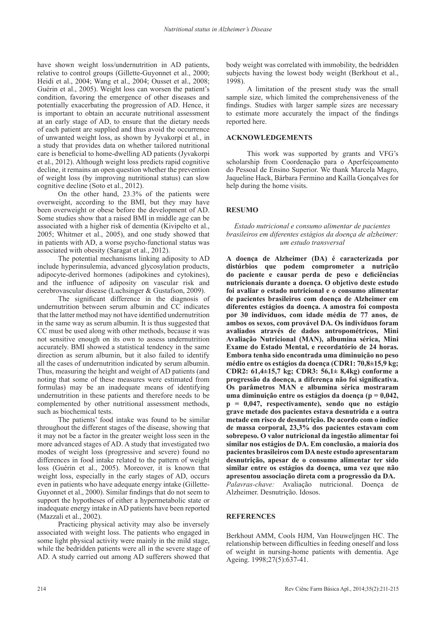have shown weight loss/undernutrition in AD patients, relative to control groups (Gillette-Guyonnet et al., 2000; Heidi et al., 2004; Wang et al., 2004; Ousset et al., 2008; Guérin et al., 2005). Weight loss can worsen the patient's condition, favoring the emergence of other diseases and potentially exacerbating the progression of AD. Hence, it is important to obtain an accurate nutritional assessment at an early stage of AD, to ensure that the dietary needs of each patient are supplied and thus avoid the occurrence of unwanted weight loss, as shown by Jyvakorpi et al., in a study that provides data on whether tailored nutritional care is beneficial to home-dwelling AD patients (Jyvakorpi et al., 2012). Although weight loss predicts rapid cognitive decline, it remains an open question whether the prevention of weight loss (by improving nutritional status) can slow cognitive decline (Soto et al., 2012).

On the other hand, 23.3% of the patients were overweight, according to the BMI, but they may have been overweight or obese before the development of AD. Some studies show that a raised BMI in middle age can be associated with a higher risk of dementia (Kivipelto et al., 2005; Whitmer et al., 2005), and one study showed that in patients with AD, a worse psycho-functional status was associated with obesity (Saragat et al., 2012).

The potential mechanisms linking adiposity to AD include hyperinsulemia, advanced glycosylation products, adipocyte-derived hormones (adipokines and cytokines), and the influence of adiposity on vascular risk and cerebrovascular disease (Luchsinger & Gustafson, 2009).

The significant difference in the diagnosis of undernutrition between serum albumin and CC indicates that the latter method may not have identified undernutrition in the same way as serum albumin. It is thus suggested that CC must be used along with other methods, because it was not sensitive enough on its own to assess undernutrition accurately. BMI showed a statistical tendency in the same direction as serum albumin, but it also failed to identify all the cases of undernutrition indicated by serum albumin. Thus, measuring the height and weight of AD patients (and noting that some of these measures were estimated from formulas) may be an inadequate means of identifying undernutrition in these patients and therefore needs to be complemented by other nutritional assessment methods, such as biochemical tests.

The patients' food intake was found to be similar throughout the different stages of the disease, showing that it may not be a factor in the greater weight loss seen in the more advanced stages of AD. A study that investigated two modes of weight loss (progressive and severe) found no differences in food intake related to the pattern of weight loss (Guérin et al., 2005). Moreover, it is known that weight loss, especially in the early stages of AD, occurs even in patients who have adequate energy intake (Gillette-Guyonnet et al., 2000). Similar findings that do not seem to support the hypotheses of either a hypermetabolic state or inadequate energy intake in AD patients have been reported (Mazzali et al., 2002).

Practicing physical activity may also be inversely associated with weight loss. The patients who engaged in some light physical activity were mainly in the mild stage, while the bedridden patients were all in the severe stage of AD. A study carried out among AD sufferers showed that

body weight was correlated with immobility, the bedridden subjects having the lowest body weight (Berkhout et al., 1998).

A limitation of the present study was the small sample size, which limited the comprehensiveness of the findings. Studies with larger sample sizes are necessary to estimate more accurately the impact of the findings reported here.

## **ACKNOWLEDGEMENTS**

This work was supported by grants and VFG's scholarship from Coordenação para o Aperfeiçoamento do Pessoal de Ensino Superior. We thank Marcela Magro, Jaqueline Hack, Bárbara Fermino and Kaílla Gonçalves for help during the home visits.

# **RESUMO**

## *Estado nutricional e consumo alimentar de pacientes brasileiros em diferentes estágios da doença de alzheimer: um estudo transversal*

**A doença de Alzheimer (DA) é caracterizada por distúrbios que podem comprometer a nutrição do paciente e causar perda de peso e deficiências nutricionais durante a doença. O objetivo deste estudo foi avaliar o estado nutricional e o consumo alimentar de pacientes brasileiros com doença de Alzheimer em diferentes estágios da doença. A amostra foi composta por 30 indivíduos, com idade média de 77 anos, de ambos os sexos, com provável DA. Os indivíduos foram avaliados através de dados antropométricos, Mini Avaliação Nutricional (MAN), albumina sérica, Mini Exame do Estado Mental, e recordatório de 24 horas. Embora tenha sido encontrada uma diminuição no peso médio entre os estágios da doença (CDR1: 70,8±15,9 kg; CDR2: 61,4±15,7 kg; CDR3: 56,1± 8,4kg) conforme a progressão da doença, a diferença não foi significativa. Os parâmetros MAN e albumina sérica mostraram uma diminuição entre os estágios da doença (p = 0,042, p = 0,047, respectivamente), sendo que no estágio grave metade dos pacientes estava desnutrida e a outra metade em risco de desnutrição. De acordo com o índice de massa corporal, 23,3% dos pacientes estavam com sobrepeso. O valor nutricional da ingestão alimentar foi similar nos estágios de DA. Em conclusão, a maioria dos pacientes brasileiros com DA neste estudo apresentaram desnutrição, apesar de o consumo alimentar ter sido similar entre os estágios da doença, uma vez que não apresentou associação direta com a progressão da DA.** *Palavras-chave:* Avaliação nutricional. Doença de Alzheimer. Desnutrição. Idosos.

# **REFERENCES**

Berkhout AMM, Cools HJM, Van Houweljngen HC. The relationship between difficulties in feeding oneself and loss of weight in nursing-home patients with dementia. Age Ageing. 1998;27(5):637-41.